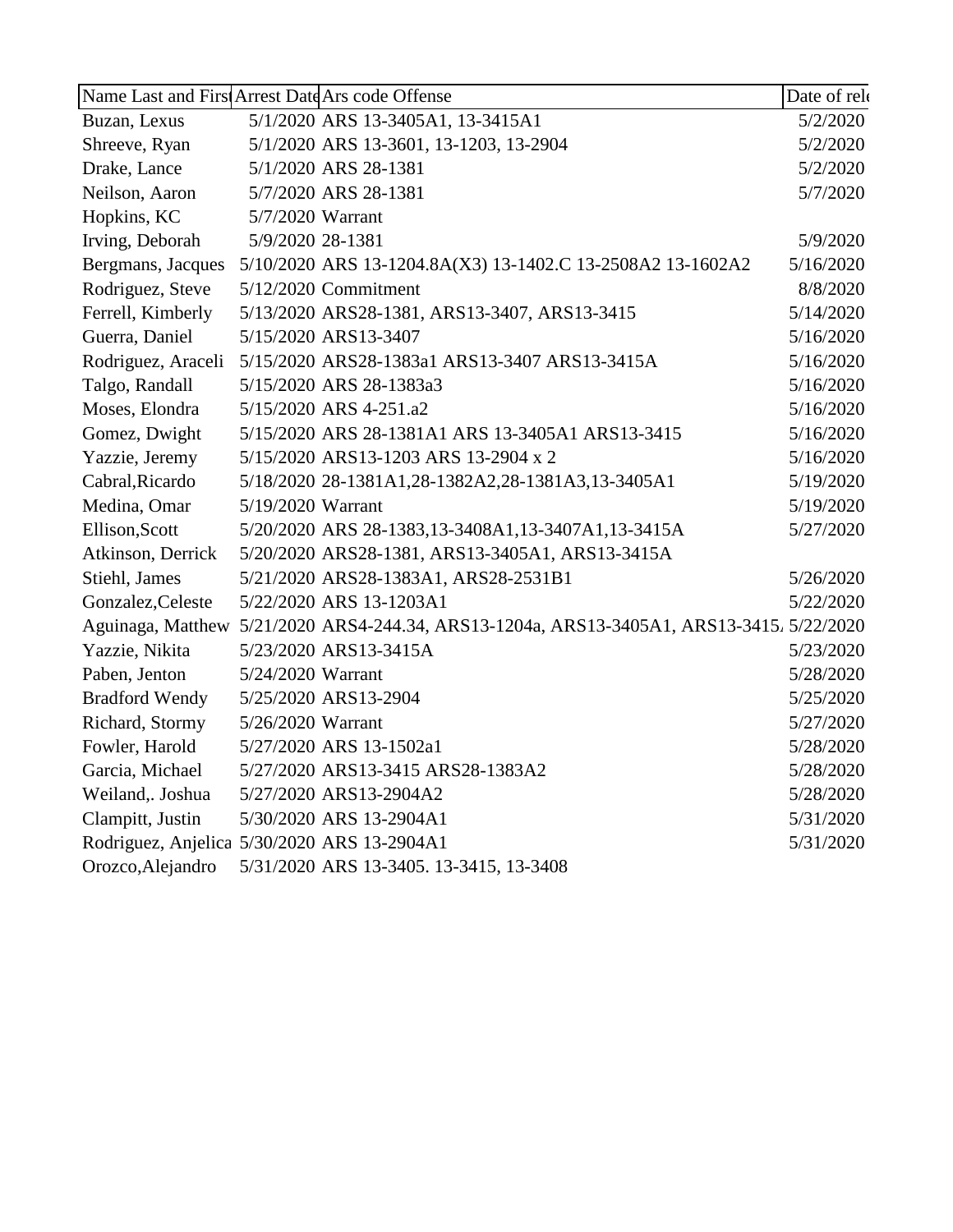|                       | Name Last and First Arrest Date Ars code Offense                                          | Date of rel |
|-----------------------|-------------------------------------------------------------------------------------------|-------------|
| Buzan, Lexus          | 5/1/2020 ARS 13-3405A1, 13-3415A1                                                         | 5/2/2020    |
| Shreeve, Ryan         | 5/1/2020 ARS 13-3601, 13-1203, 13-2904                                                    | 5/2/2020    |
| Drake, Lance          | 5/1/2020 ARS 28-1381                                                                      | 5/2/2020    |
| Neilson, Aaron        | 5/7/2020 ARS 28-1381                                                                      | 5/7/2020    |
| Hopkins, KC           | 5/7/2020 Warrant                                                                          |             |
| Irving, Deborah       | 5/9/2020 28-1381                                                                          | 5/9/2020    |
| Bergmans, Jacques     | 5/10/2020 ARS 13-1204.8A(X3) 13-1402.C 13-2508A2 13-1602A2                                | 5/16/2020   |
| Rodriguez, Steve      | 5/12/2020 Commitment                                                                      | 8/8/2020    |
| Ferrell, Kimberly     | 5/13/2020 ARS28-1381, ARS13-3407, ARS13-3415                                              | 5/14/2020   |
| Guerra, Daniel        | 5/15/2020 ARS13-3407                                                                      | 5/16/2020   |
| Rodriguez, Araceli    | 5/15/2020 ARS28-1383a1 ARS13-3407 ARS13-3415A                                             | 5/16/2020   |
| Talgo, Randall        | 5/15/2020 ARS 28-1383a3                                                                   | 5/16/2020   |
| Moses, Elondra        | 5/15/2020 ARS 4-251.a2                                                                    | 5/16/2020   |
| Gomez, Dwight         | 5/15/2020 ARS 28-1381A1 ARS 13-3405A1 ARS13-3415                                          | 5/16/2020   |
| Yazzie, Jeremy        | 5/15/2020 ARS13-1203 ARS 13-2904 x 2                                                      | 5/16/2020   |
| Cabral, Ricardo       | 5/18/2020 28-1381A1,28-1382A2,28-1381A3,13-3405A1                                         | 5/19/2020   |
| Medina, Omar          | 5/19/2020 Warrant                                                                         | 5/19/2020   |
| Ellison, Scott        | 5/20/2020 ARS 28-1383,13-3408A1,13-3407A1,13-3415A                                        | 5/27/2020   |
| Atkinson, Derrick     | 5/20/2020 ARS28-1381, ARS13-3405A1, ARS13-3415A                                           |             |
| Stiehl, James         | 5/21/2020 ARS28-1383A1, ARS28-2531B1                                                      | 5/26/2020   |
| Gonzalez, Celeste     | 5/22/2020 ARS 13-1203A1                                                                   | 5/22/2020   |
|                       | Aguinaga, Matthew 5/21/2020 ARS4-244.34, ARS13-1204a, ARS13-3405A1, ARS13-3415. 5/22/2020 |             |
| Yazzie, Nikita        | 5/23/2020 ARS13-3415A                                                                     | 5/23/2020   |
| Paben, Jenton         | 5/24/2020 Warrant                                                                         | 5/28/2020   |
| <b>Bradford Wendy</b> | 5/25/2020 ARS13-2904                                                                      | 5/25/2020   |
| Richard, Stormy       | 5/26/2020 Warrant                                                                         | 5/27/2020   |
| Fowler, Harold        | 5/27/2020 ARS 13-1502a1                                                                   | 5/28/2020   |
| Garcia, Michael       | 5/27/2020 ARS13-3415 ARS28-1383A2                                                         | 5/28/2020   |
| Weiland, Joshua       | 5/27/2020 ARS13-2904A2                                                                    | 5/28/2020   |
| Clampitt, Justin      | 5/30/2020 ARS 13-2904A1                                                                   | 5/31/2020   |
|                       | Rodriguez, Anjelica 5/30/2020 ARS 13-2904A1                                               | 5/31/2020   |
| Orozco, Alejandro     | 5/31/2020 ARS 13-3405. 13-3415, 13-3408                                                   |             |